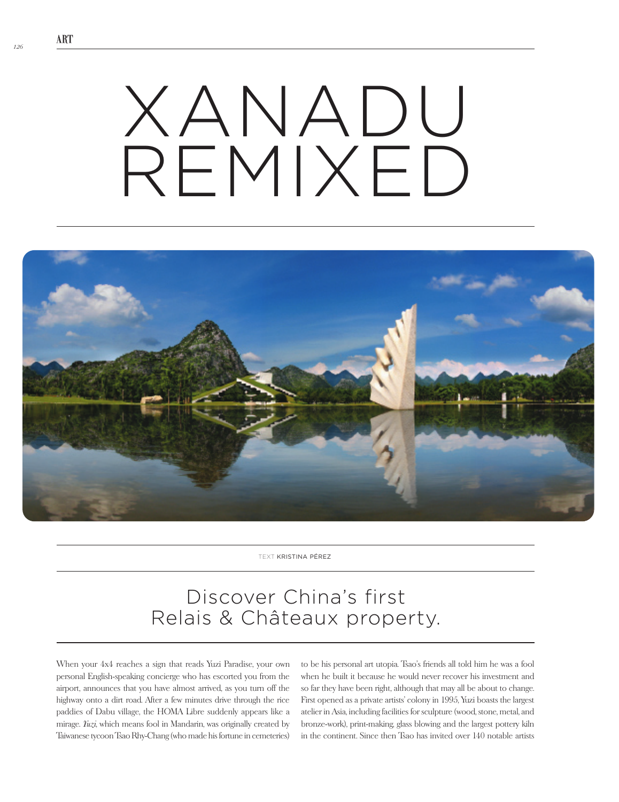## XANADU REMIXFD



text Kristina Pérez

## Discover China's first Relais & Châteaux property.

When your 4x4 reaches a sign that reads Yuzi Paradise, your own personal English-speaking concierge who has escorted you from the airport, announces that you have almost arrived, as you turn off the highway onto a dirt road. After a few minutes drive through the rice paddies of Dabu village, the HOMA Libre suddenly appears like a mirage. *Yuzi*, which means fool in Mandarin, was originally created by Taiwanese tycoon Tsao Rhy-Chang (who made his fortune in cemeteries)

to be his personal art utopia. Tsao's friends all told him he was a fool when he built it because he would never recover his investment and so far they have been right, although that may all be about to change. First opened as a private artists' colony in 1995, Yuzi boasts the largest atelier in Asia, including facilities for sculpture (wood, stone, metal, and bronze-work), print-making, glass blowing and the largest pottery kiln in the continent. Since then Tsao has invited over 140 notable artists